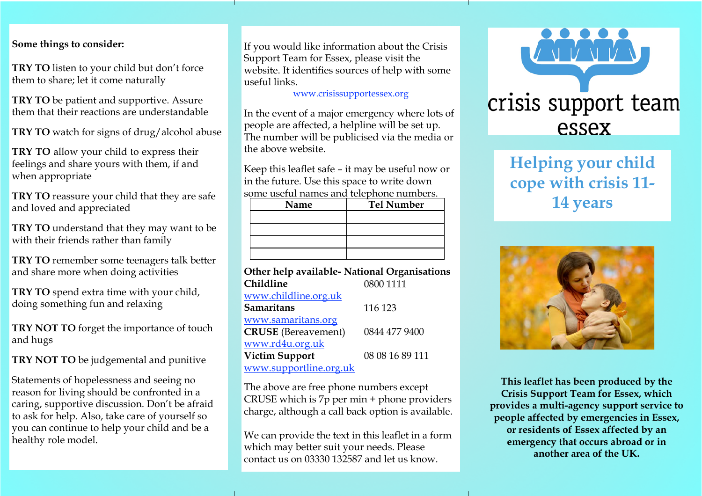## **Some things to consider:**

**TRY TO** listen to your child but don't force them to share; let it come naturally

**TRY TO** be patient and supportive. Assure them that their reactions are understandable

**TRY TO** watch for signs of drug/alcohol abuse

**TRY TO** allow your child to express their feelings and share yours with them, if and when appropriate

**TRY TO** reassure your child that they are safe and loved and appreciated

**TRY TO** understand that they may want to be with their friends rather than family

**TRY TO** remember some teenagers talk better and share more when doing activities

**TRY TO** spend extra time with your child, doing something fun and relaxing

**TRY NOT TO** forget the importance of touch and hugs

**TRY NOT TO** be judgemental and punitive

Statements of hopelessness and seeing no reason for living should be confronted in a caring, supportive discussion. Don't be afraid to ask for help. Also, take care of yourself so you can continue to help your child and be a healthy role model.

If you would like information about the Crisis Support Team for Essex, please visit the website. It identifies sources of help with some useful links.

[www.crisissupportessex.org](http://www.crisissupportessex.org/)

In the event of a major emergency where lots of people are affected, a helpline will be set up. The number will be publicised via the media or the above website.

Keep this leaflet safe – it may be useful now or in the future. Use this space to write down some useful names and telephone numbers.

| sonic dsciui namics anu icicinione numbers. |      |                   |
|---------------------------------------------|------|-------------------|
|                                             | Name | <b>Tel Number</b> |
|                                             |      |                   |
|                                             |      |                   |
|                                             |      |                   |
|                                             |      |                   |

# **Other help available- National Organisations Childline** 0800 1111

| www.childline.org.uk       |                 |
|----------------------------|-----------------|
| <b>Samaritans</b>          | 116 123         |
| www.samaritans.org         |                 |
| <b>CRUSE</b> (Bereavement) | 0844 477 9400   |
| www.rd4u.org.uk            |                 |
| <b>Victim Support</b>      | 08 08 16 89 111 |
| www.supportline.org.uk     |                 |

The above are free phone numbers except CRUSE which is 7p per min + phone providers charge, although a call back option is available.

We can provide the text in this leaflet in a form which may better suit your needs. Please contact us on 03330 132587 and let us know.



# **Helping your child cope with crisis 11- 14 years**



**This leaflet has been produced by the Crisis Support Team for Essex, which provides a multi-agency support service to people affected by emergencies in Essex, or residents of Essex affected by an emergency that occurs abroad or in another area of the UK.**